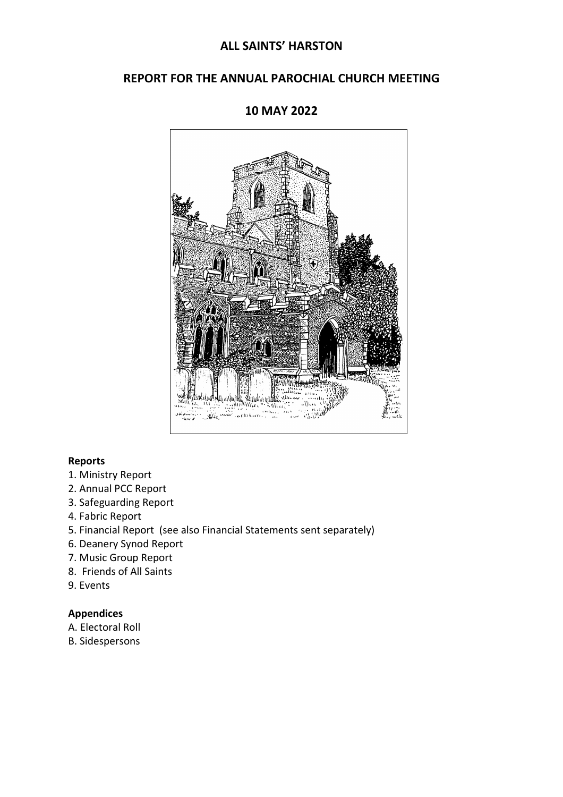# **ALL SAINTS' HARSTON**

# **REPORT FOR THE ANNUAL PAROCHIAL CHURCH MEETING**



# **10 MAY 2022**

## **Reports**

- 1. Ministry Report
- 2. Annual PCC Report
- 3. Safeguarding Report
- 4. Fabric Report
- 5. Financial Report (see also Financial Statements sent separately)
- 6. Deanery Synod Report
- 7. Music Group Report
- 8. Friends of All Saints
- 9. Events

#### **Appendices**

- A. Electoral Roll
- B. Sidespersons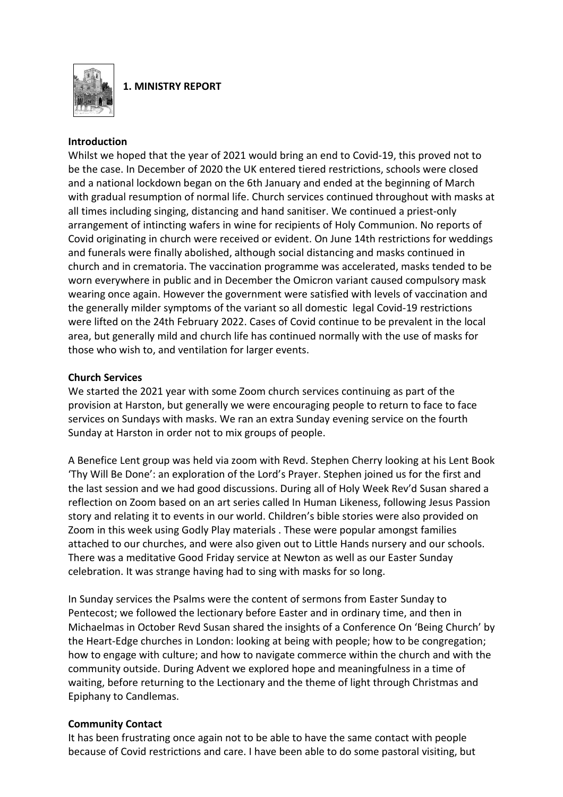

**1. MINISTRY REPORT**

#### **Introduction**

Whilst we hoped that the year of 2021 would bring an end to Covid-19, this proved not to be the case. In December of 2020 the UK entered tiered restrictions, schools were closed and a national lockdown began on the 6th January and ended at the beginning of March with gradual resumption of normal life. Church services continued throughout with masks at all times including singing, distancing and hand sanitiser. We continued a priest-only arrangement of intincting wafers in wine for recipients of Holy Communion. No reports of Covid originating in church were received or evident. On June 14th restrictions for weddings and funerals were finally abolished, although social distancing and masks continued in church and in crematoria. The vaccination programme was accelerated, masks tended to be worn everywhere in public and in December the Omicron variant caused compulsory mask wearing once again. However the government were satisfied with levels of vaccination and the generally milder symptoms of the variant so all domestic legal Covid-19 restrictions were lifted on the 24th February 2022. Cases of Covid continue to be prevalent in the local area, but generally mild and church life has continued normally with the use of masks for those who wish to, and ventilation for larger events.

#### **Church Services**

We started the 2021 year with some Zoom church services continuing as part of the provision at Harston, but generally we were encouraging people to return to face to face services on Sundays with masks. We ran an extra Sunday evening service on the fourth Sunday at Harston in order not to mix groups of people.

A Benefice Lent group was held via zoom with Revd. Stephen Cherry looking at his Lent Book 'Thy Will Be Done': an exploration of the Lord's Prayer. Stephen joined us for the first and the last session and we had good discussions. During all of Holy Week Rev'd Susan shared a reflection on Zoom based on an art series called In Human Likeness, following Jesus Passion story and relating it to events in our world. Children's bible stories were also provided on Zoom in this week using Godly Play materials . These were popular amongst families attached to our churches, and were also given out to Little Hands nursery and our schools. There was a meditative Good Friday service at Newton as well as our Easter Sunday celebration. It was strange having had to sing with masks for so long.

In Sunday services the Psalms were the content of sermons from Easter Sunday to Pentecost; we followed the lectionary before Easter and in ordinary time, and then in Michaelmas in October Revd Susan shared the insights of a Conference On 'Being Church' by the Heart-Edge churches in London: looking at being with people; how to be congregation; how to engage with culture; and how to navigate commerce within the church and with the community outside. During Advent we explored hope and meaningfulness in a time of waiting, before returning to the Lectionary and the theme of light through Christmas and Epiphany to Candlemas.

## **Community Contact**

It has been frustrating once again not to be able to have the same contact with people because of Covid restrictions and care. I have been able to do some pastoral visiting, but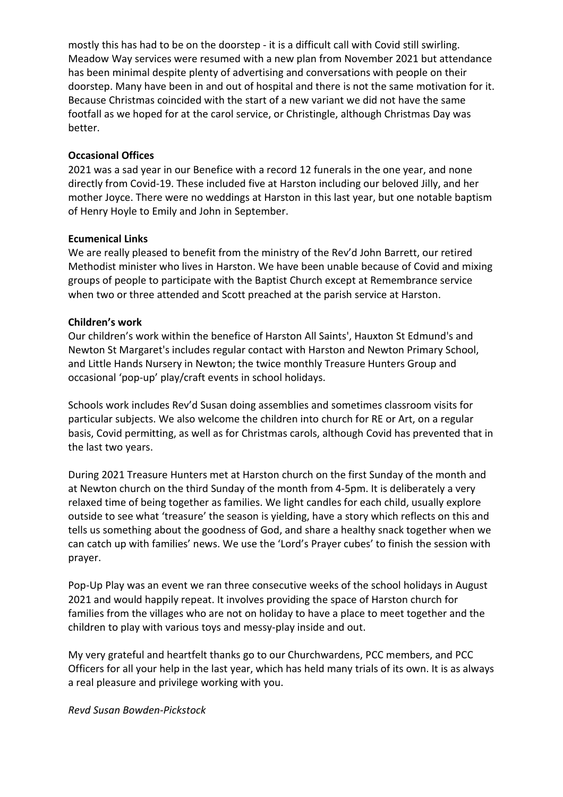mostly this has had to be on the doorstep - it is a difficult call with Covid still swirling. Meadow Way services were resumed with a new plan from November 2021 but attendance has been minimal despite plenty of advertising and conversations with people on their doorstep. Many have been in and out of hospital and there is not the same motivation for it. Because Christmas coincided with the start of a new variant we did not have the same footfall as we hoped for at the carol service, or Christingle, although Christmas Day was better.

#### **Occasional Offices**

2021 was a sad year in our Benefice with a record 12 funerals in the one year, and none directly from Covid-19. These included five at Harston including our beloved Jilly, and her mother Joyce. There were no weddings at Harston in this last year, but one notable baptism of Henry Hoyle to Emily and John in September.

#### **Ecumenical Links**

We are really pleased to benefit from the ministry of the Rev'd John Barrett, our retired Methodist minister who lives in Harston. We have been unable because of Covid and mixing groups of people to participate with the Baptist Church except at Remembrance service when two or three attended and Scott preached at the parish service at Harston.

#### **Children's work**

Our children's work within the benefice of Harston All Saints', Hauxton St Edmund's and Newton St Margaret's includes regular contact with Harston and Newton Primary School, and Little Hands Nursery in Newton; the twice monthly Treasure Hunters Group and occasional 'pop-up' play/craft events in school holidays.

Schools work includes Rev'd Susan doing assemblies and sometimes classroom visits for particular subjects. We also welcome the children into church for RE or Art, on a regular basis, Covid permitting, as well as for Christmas carols, although Covid has prevented that in the last two years.

During 2021 Treasure Hunters met at Harston church on the first Sunday of the month and at Newton church on the third Sunday of the month from 4-5pm. It is deliberately a very relaxed time of being together as families. We light candles for each child, usually explore outside to see what 'treasure' the season is yielding, have a story which reflects on this and tells us something about the goodness of God, and share a healthy snack together when we can catch up with families' news. We use the 'Lord's Prayer cubes' to finish the session with prayer.

Pop-Up Play was an event we ran three consecutive weeks of the school holidays in August 2021 and would happily repeat. It involves providing the space of Harston church for families from the villages who are not on holiday to have a place to meet together and the children to play with various toys and messy-play inside and out.

My very grateful and heartfelt thanks go to our Churchwardens, PCC members, and PCC Officers for all your help in the last year, which has held many trials of its own. It is as always a real pleasure and privilege working with you.

#### *Revd Susan Bowden-Pickstock*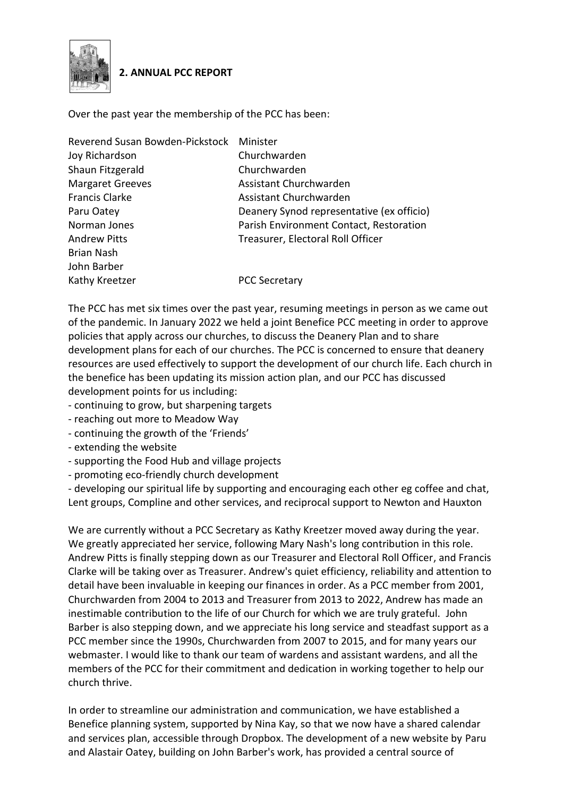

## **2. ANNUAL PCC REPORT**

Over the past year the membership of the PCC has been:

| Reverend Susan Bowden-Pickstock | Minister                                  |
|---------------------------------|-------------------------------------------|
| Joy Richardson                  | Churchwarden                              |
| Shaun Fitzgerald                | Churchwarden                              |
| <b>Margaret Greeves</b>         | Assistant Churchwarden                    |
| <b>Francis Clarke</b>           | Assistant Churchwarden                    |
| Paru Oatey                      | Deanery Synod representative (ex officio) |
| Norman Jones                    | Parish Environment Contact, Restoration   |
| <b>Andrew Pitts</b>             | Treasurer, Electoral Roll Officer         |
| <b>Brian Nash</b>               |                                           |
| John Barber                     |                                           |
| Kathy Kreetzer                  | <b>PCC Secretary</b>                      |

The PCC has met six times over the past year, resuming meetings in person as we came out of the pandemic. In January 2022 we held a joint Benefice PCC meeting in order to approve policies that apply across our churches, to discuss the Deanery Plan and to share development plans for each of our churches. The PCC is concerned to ensure that deanery resources are used effectively to support the development of our church life. Each church in the benefice has been updating its mission action plan, and our PCC has discussed development points for us including:

- continuing to grow, but sharpening targets
- reaching out more to Meadow Way
- continuing the growth of the 'Friends'
- extending the website
- supporting the Food Hub and village projects
- promoting eco-friendly church development

- developing our spiritual life by supporting and encouraging each other eg coffee and chat, Lent groups, Compline and other services, and reciprocal support to Newton and Hauxton

We are currently without a PCC Secretary as Kathy Kreetzer moved away during the year. We greatly appreciated her service, following Mary Nash's long contribution in this role. Andrew Pitts is finally stepping down as our Treasurer and Electoral Roll Officer, and Francis Clarke will be taking over as Treasurer. Andrew's quiet efficiency, reliability and attention to detail have been invaluable in keeping our finances in order. As a PCC member from 2001, Churchwarden from 2004 to 2013 and Treasurer from 2013 to 2022, Andrew has made an inestimable contribution to the life of our Church for which we are truly grateful. John Barber is also stepping down, and we appreciate his long service and steadfast support as a PCC member since the 1990s, Churchwarden from 2007 to 2015, and for many years our webmaster. I would like to thank our team of wardens and assistant wardens, and all the members of the PCC for their commitment and dedication in working together to help our church thrive.

In order to streamline our administration and communication, we have established a Benefice planning system, supported by Nina Kay, so that we now have a shared calendar and services plan, accessible through Dropbox. The development of a new website by Paru and Alastair Oatey, building on John Barber's work, has provided a central source of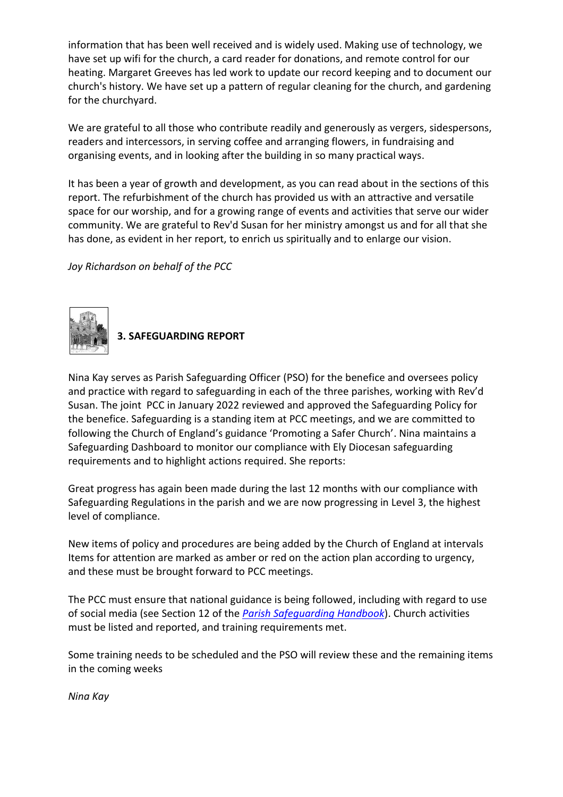information that has been well received and is widely used. Making use of technology, we have set up wifi for the church, a card reader for donations, and remote control for our heating. Margaret Greeves has led work to update our record keeping and to document our church's history. We have set up a pattern of regular cleaning for the church, and gardening for the churchyard.

We are grateful to all those who contribute readily and generously as vergers, sidespersons, readers and intercessors, in serving coffee and arranging flowers, in fundraising and organising events, and in looking after the building in so many practical ways.

It has been a year of growth and development, as you can read about in the sections of this report. The refurbishment of the church has provided us with an attractive and versatile space for our worship, and for a growing range of events and activities that serve our wider community. We are grateful to Rev'd Susan for her ministry amongst us and for all that she has done, as evident in her report, to enrich us spiritually and to enlarge our vision.

*Joy Richardson on behalf of the PCC*



## **3. SAFEGUARDING REPORT**

Nina Kay serves as Parish Safeguarding Officer (PSO) for the benefice and oversees policy and practice with regard to safeguarding in each of the three parishes, working with Rev'd Susan. The joint PCC in January 2022 reviewed and approved the Safeguarding Policy for the benefice. Safeguarding is a standing item at PCC meetings, and we are committed to following the Church of England's guidance 'Promoting a Safer Church'. Nina maintains a Safeguarding Dashboard to monitor our compliance with Ely Diocesan safeguarding requirements and to highlight actions required. She reports:

Great progress has again been made during the last 12 months with our compliance with Safeguarding Regulations in the parish and we are now progressing in Level 3, the highest level of compliance.

New items of policy and procedures are being added by the Church of England at intervals Items for attention are marked as amber or red on the action plan according to urgency, and these must be brought forward to PCC meetings.

The PCC must ensure that national guidance is being followed, including with regard to use of social media (see Section 12 of the *[Parish Safeguarding Handbook](https://tools.parishdashboards.org.uk/storage/app/media/Resources/parish-safeguarding-handbook.pdf)*). Church activities must be listed and reported, and training requirements met.

Some training needs to be scheduled and the PSO will review these and the remaining items in the coming weeks

*Nina Kay*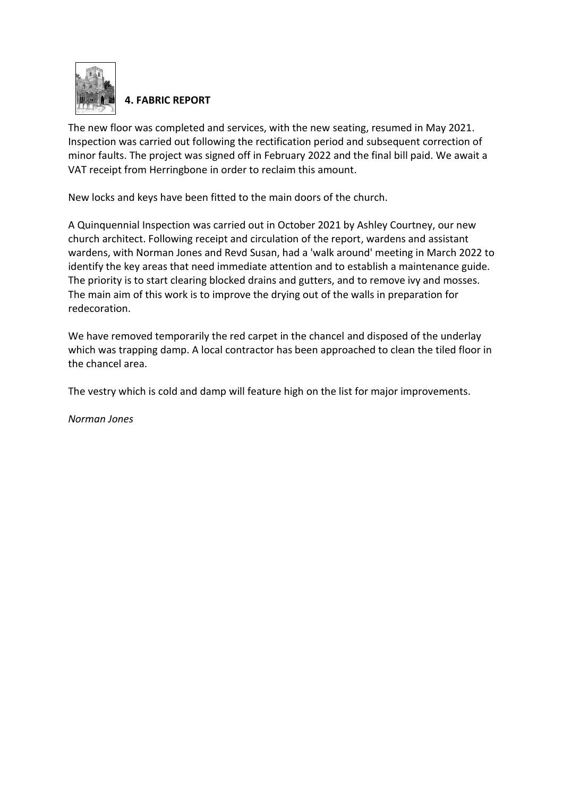

# **4. FABRIC REPORT**

The new floor was completed and services, with the new seating, resumed in May 2021. Inspection was carried out following the rectification period and subsequent correction of minor faults. The project was signed off in February 2022 and the final bill paid. We await a VAT receipt from Herringbone in order to reclaim this amount.

New locks and keys have been fitted to the main doors of the church.

A Quinquennial Inspection was carried out in October 2021 by Ashley Courtney, our new church architect. Following receipt and circulation of the report, wardens and assistant wardens, with Norman Jones and Revd Susan, had a 'walk around' meeting in March 2022 to identify the key areas that need immediate attention and to establish a maintenance guide. The priority is to start clearing blocked drains and gutters, and to remove ivy and mosses. The main aim of this work is to improve the drying out of the walls in preparation for redecoration.

We have removed temporarily the red carpet in the chancel and disposed of the underlay which was trapping damp. A local contractor has been approached to clean the tiled floor in the chancel area.

The vestry which is cold and damp will feature high on the list for major improvements.

*Norman Jones*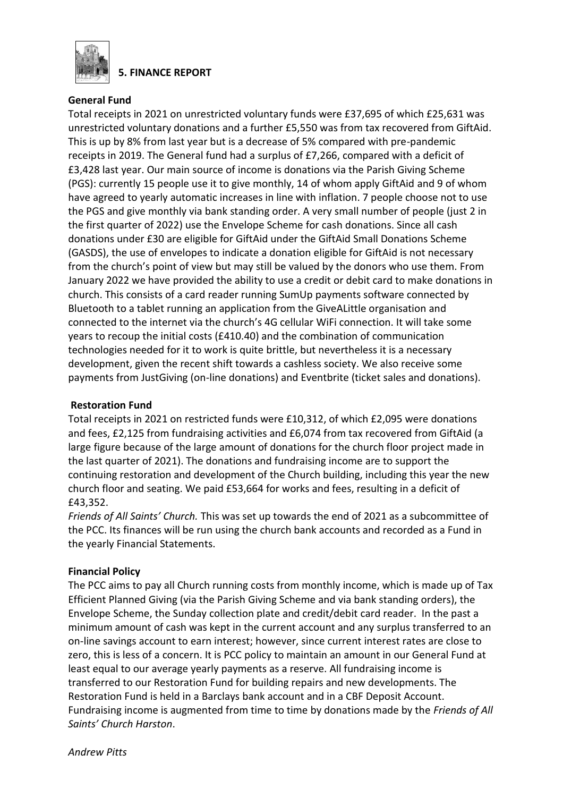

**5. FINANCE REPORT**

## **General Fund**

Total receipts in 2021 on unrestricted voluntary funds were £37,695 of which £25,631 was unrestricted voluntary donations and a further £5,550 was from tax recovered from GiftAid. This is up by 8% from last year but is a decrease of 5% compared with pre-pandemic receipts in 2019. The General fund had a surplus of £7,266, compared with a deficit of £3,428 last year. Our main source of income is donations via the Parish Giving Scheme (PGS): currently 15 people use it to give monthly, 14 of whom apply GiftAid and 9 of whom have agreed to yearly automatic increases in line with inflation. 7 people choose not to use the PGS and give monthly via bank standing order. A very small number of people (just 2 in the first quarter of 2022) use the Envelope Scheme for cash donations. Since all cash donations under £30 are eligible for GiftAid under the GiftAid Small Donations Scheme (GASDS), the use of envelopes to indicate a donation eligible for GiftAid is not necessary from the church's point of view but may still be valued by the donors who use them. From January 2022 we have provided the ability to use a credit or debit card to make donations in church. This consists of a card reader running SumUp payments software connected by Bluetooth to a tablet running an application from the GiveALittle organisation and connected to the internet via the church's 4G cellular WiFi connection. It will take some years to recoup the initial costs (£410.40) and the combination of communication technologies needed for it to work is quite brittle, but nevertheless it is a necessary development, given the recent shift towards a cashless society. We also receive some payments from JustGiving (on-line donations) and Eventbrite (ticket sales and donations).

## **Restoration Fund**

Total receipts in 2021 on restricted funds were £10,312, of which £2,095 were donations and fees, £2,125 from fundraising activities and £6,074 from tax recovered from GiftAid (a large figure because of the large amount of donations for the church floor project made in the last quarter of 2021). The donations and fundraising income are to support the continuing restoration and development of the Church building, including this year the new church floor and seating. We paid £53,664 for works and fees, resulting in a deficit of £43,352.

*Friends of All Saints' Church.* This was set up towards the end of 2021 as a subcommittee of the PCC. Its finances will be run using the church bank accounts and recorded as a Fund in the yearly Financial Statements.

## **Financial Policy**

The PCC aims to pay all Church running costs from monthly income, which is made up of Tax Efficient Planned Giving (via the Parish Giving Scheme and via bank standing orders), the Envelope Scheme, the Sunday collection plate and credit/debit card reader. In the past a minimum amount of cash was kept in the current account and any surplus transferred to an on-line savings account to earn interest; however, since current interest rates are close to zero, this is less of a concern. It is PCC policy to maintain an amount in our General Fund at least equal to our average yearly payments as a reserve. All fundraising income is transferred to our Restoration Fund for building repairs and new developments. The Restoration Fund is held in a Barclays bank account and in a CBF Deposit Account. Fundraising income is augmented from time to time by donations made by the *Friends of All Saints' Church Harston*.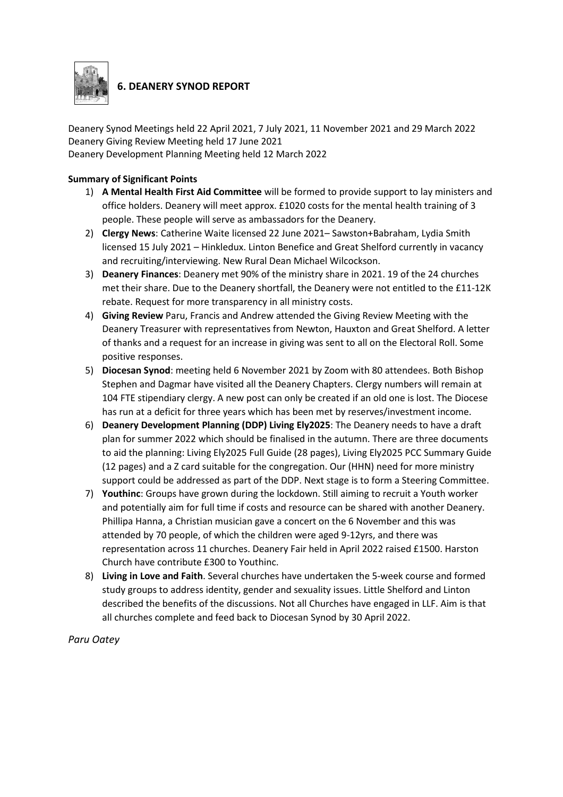

# **6. DEANERY SYNOD REPORT**

Deanery Synod Meetings held 22 April 2021, 7 July 2021, 11 November 2021 and 29 March 2022 Deanery Giving Review Meeting held 17 June 2021 Deanery Development Planning Meeting held 12 March 2022

#### **Summary of Significant Points**

- 1) **A Mental Health First Aid Committee** will be formed to provide support to lay ministers and office holders. Deanery will meet approx. £1020 costs for the mental health training of 3 people. These people will serve as ambassadors for the Deanery.
- 2) **Clergy News**: Catherine Waite licensed 22 June 2021– Sawston+Babraham, Lydia Smith licensed 15 July 2021 – Hinkledux. Linton Benefice and Great Shelford currently in vacancy and recruiting/interviewing. New Rural Dean Michael Wilcockson.
- 3) **Deanery Finances**: Deanery met 90% of the ministry share in 2021. 19 of the 24 churches met their share. Due to the Deanery shortfall, the Deanery were not entitled to the £11-12K rebate. Request for more transparency in all ministry costs.
- 4) **Giving Review** Paru, Francis and Andrew attended the Giving Review Meeting with the Deanery Treasurer with representatives from Newton, Hauxton and Great Shelford. A letter of thanks and a request for an increase in giving was sent to all on the Electoral Roll. Some positive responses.
- 5) **Diocesan Synod**: meeting held 6 November 2021 by Zoom with 80 attendees. Both Bishop Stephen and Dagmar have visited all the Deanery Chapters. Clergy numbers will remain at 104 FTE stipendiary clergy. A new post can only be created if an old one is lost. The Diocese has run at a deficit for three years which has been met by reserves/investment income.
- 6) **Deanery Development Planning (DDP) Living Ely2025**: The Deanery needs to have a draft plan for summer 2022 which should be finalised in the autumn. There are three documents to aid the planning: Living Ely2025 Full Guide (28 pages), Living Ely2025 PCC Summary Guide (12 pages) and a Z card suitable for the congregation. Our (HHN) need for more ministry support could be addressed as part of the DDP. Next stage is to form a Steering Committee.
- 7) **Youthinc**: Groups have grown during the lockdown. Still aiming to recruit a Youth worker and potentially aim for full time if costs and resource can be shared with another Deanery. Phillipa Hanna, a Christian musician gave a concert on the 6 November and this was attended by 70 people, of which the children were aged 9-12yrs, and there was representation across 11 churches. Deanery Fair held in April 2022 raised £1500. Harston Church have contribute £300 to Youthinc.
- 8) **Living in Love and Faith**. Several churches have undertaken the 5-week course and formed study groups to address identity, gender and sexuality issues. Little Shelford and Linton described the benefits of the discussions. Not all Churches have engaged in LLF. Aim is that all churches complete and feed back to Diocesan Synod by 30 April 2022.

*Paru Oatey*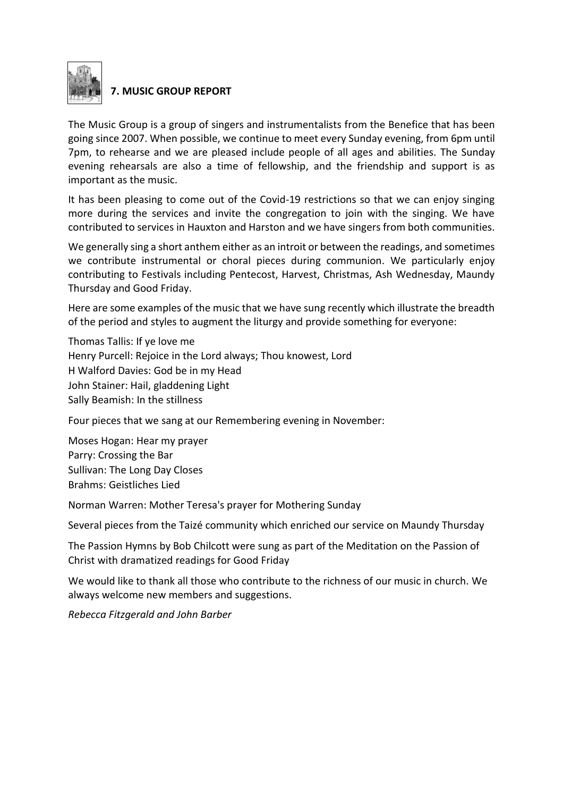

# **7. MUSIC GROUP REPORT**

The Music Group is a group of singers and instrumentalists from the Benefice that has been going since 2007. When possible, we continue to meet every Sunday evening, from 6pm until 7pm, to rehearse and we are pleased include people of all ages and abilities. The Sunday evening rehearsals are also a time of fellowship, and the friendship and support is as important as the music.

It has been pleasing to come out of the Covid-19 restrictions so that we can enjoy singing more during the services and invite the congregation to join with the singing. We have contributed to services in Hauxton and Harston and we have singers from both communities.

We generally sing a short anthem either as an introit or between the readings, and sometimes we contribute instrumental or choral pieces during communion. We particularly enjoy contributing to Festivals including Pentecost, Harvest, Christmas, Ash Wednesday, Maundy Thursday and Good Friday.

Here are some examples of the music that we have sung recently which illustrate the breadth of the period and styles to augment the liturgy and provide something for everyone:

Thomas Tallis: If ye love me Henry Purcell: Rejoice in the Lord always; Thou knowest, Lord H Walford Davies: God be in my Head John Stainer: Hail, gladdening Light Sally Beamish: In the stillness

Four pieces that we sang at our Remembering evening in November:

Moses Hogan: Hear my prayer Parry: Crossing the Bar Sullivan: The Long Day Closes Brahms: Geistliches Lied

Norman Warren: Mother Teresa's prayer for Mothering Sunday

Several pieces from the Taizé community which enriched our service on Maundy Thursday

The Passion Hymns by Bob Chilcott were sung as part of the Meditation on the Passion of Christ with dramatized readings for Good Friday

We would like to thank all those who contribute to the richness of our music in church. We always welcome new members and suggestions.

*Rebecca Fitzgerald and John Barber*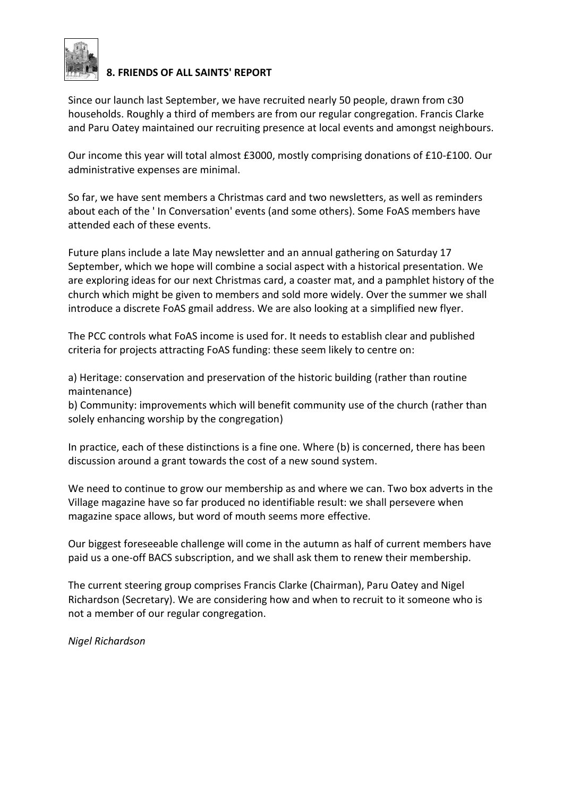

## **8. FRIENDS OF ALL SAINTS' REPORT**

Since our launch last September, we have recruited nearly 50 people, drawn from c30 households. Roughly a third of members are from our regular congregation. Francis Clarke and Paru Oatey maintained our recruiting presence at local events and amongst neighbours.

Our income this year will total almost £3000, mostly comprising donations of £10-£100. Our administrative expenses are minimal.

So far, we have sent members a Christmas card and two newsletters, as well as reminders about each of the ' In Conversation' events (and some others). Some FoAS members have attended each of these events.

Future plans include a late May newsletter and an annual gathering on Saturday 17 September, which we hope will combine a social aspect with a historical presentation. We are exploring ideas for our next Christmas card, a coaster mat, and a pamphlet history of the church which might be given to members and sold more widely. Over the summer we shall introduce a discrete FoAS gmail address. We are also looking at a simplified new flyer.

The PCC controls what FoAS income is used for. It needs to establish clear and published criteria for projects attracting FoAS funding: these seem likely to centre on:

a) Heritage: conservation and preservation of the historic building (rather than routine maintenance)

b) Community: improvements which will benefit community use of the church (rather than solely enhancing worship by the congregation)

In practice, each of these distinctions is a fine one. Where (b) is concerned, there has been discussion around a grant towards the cost of a new sound system.

We need to continue to grow our membership as and where we can. Two box adverts in the Village magazine have so far produced no identifiable result: we shall persevere when magazine space allows, but word of mouth seems more effective.

Our biggest foreseeable challenge will come in the autumn as half of current members have paid us a one-off BACS subscription, and we shall ask them to renew their membership.

The current steering group comprises Francis Clarke (Chairman), Paru Oatey and Nigel Richardson (Secretary). We are considering how and when to recruit to it someone who is not a member of our regular congregation.

*Nigel Richardson*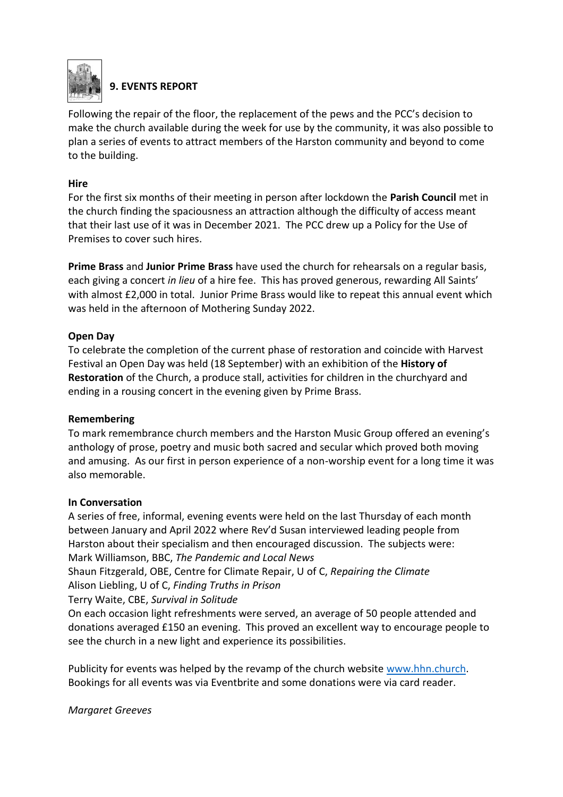

# **9. EVENTS REPORT**

Following the repair of the floor, the replacement of the pews and the PCC's decision to make the church available during the week for use by the community, it was also possible to plan a series of events to attract members of the Harston community and beyond to come to the building.

#### **Hire**

For the first six months of their meeting in person after lockdown the **Parish Council** met in the church finding the spaciousness an attraction although the difficulty of access meant that their last use of it was in December 2021. The PCC drew up a Policy for the Use of Premises to cover such hires.

**Prime Brass** and **Junior Prime Brass** have used the church for rehearsals on a regular basis, each giving a concert *in lieu* of a hire fee. This has proved generous, rewarding All Saints' with almost £2,000 in total. Junior Prime Brass would like to repeat this annual event which was held in the afternoon of Mothering Sunday 2022.

#### **Open Day**

To celebrate the completion of the current phase of restoration and coincide with Harvest Festival an Open Day was held (18 September) with an exhibition of the **History of Restoration** of the Church, a produce stall, activities for children in the churchyard and ending in a rousing concert in the evening given by Prime Brass.

#### **Remembering**

To mark remembrance church members and the Harston Music Group offered an evening's anthology of prose, poetry and music both sacred and secular which proved both moving and amusing. As our first in person experience of a non-worship event for a long time it was also memorable.

#### **In Conversation**

A series of free, informal, evening events were held on the last Thursday of each month between January and April 2022 where Rev'd Susan interviewed leading people from Harston about their specialism and then encouraged discussion. The subjects were: Mark Williamson, BBC, *The Pandemic and Local News*

Shaun Fitzgerald, OBE, Centre for Climate Repair, U of C, *Repairing the Climate* Alison Liebling, U of C, *Finding Truths in Prison*

Terry Waite, CBE, *Survival in Solitude*

On each occasion light refreshments were served, an average of 50 people attended and donations averaged £150 an evening. This proved an excellent way to encourage people to see the church in a new light and experience its possibilities.

Publicity for events was helped by the revamp of the church website [www.hhn.church.](http://www.hhn.church/) Bookings for all events was via Eventbrite and some donations were via card reader.

*Margaret Greeves*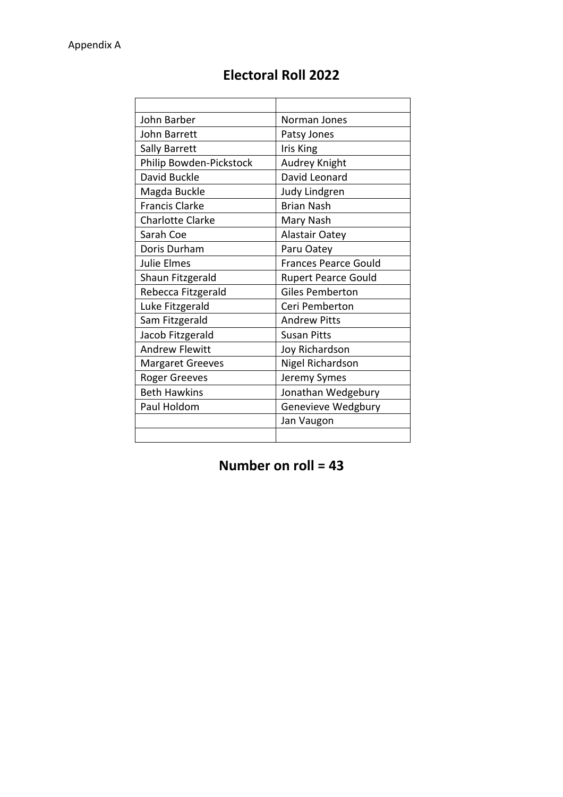| John Barber             | Norman Jones                |
|-------------------------|-----------------------------|
| John Barrett            | Patsy Jones                 |
| Sally Barrett           | Iris King                   |
| Philip Bowden-Pickstock | Audrey Knight               |
| David Buckle            | David Leonard               |
| Magda Buckle            | Judy Lindgren               |
| <b>Francis Clarke</b>   | <b>Brian Nash</b>           |
| <b>Charlotte Clarke</b> | Mary Nash                   |
| Sarah Coe               | <b>Alastair Oatey</b>       |
| Doris Durham            | Paru Oatey                  |
| <b>Julie Elmes</b>      | <b>Frances Pearce Gould</b> |
| Shaun Fitzgerald        | <b>Rupert Pearce Gould</b>  |
| Rebecca Fitzgerald      | <b>Giles Pemberton</b>      |
| Luke Fitzgerald         | Ceri Pemberton              |
| Sam Fitzgerald          | <b>Andrew Pitts</b>         |
| Jacob Fitzgerald        | <b>Susan Pitts</b>          |
| <b>Andrew Flewitt</b>   | Joy Richardson              |
| <b>Margaret Greeves</b> | Nigel Richardson            |
| <b>Roger Greeves</b>    | Jeremy Symes                |
| <b>Beth Hawkins</b>     | Jonathan Wedgebury          |
| Paul Holdom             | Genevieve Wedgbury          |
|                         | Jan Vaugon                  |
|                         |                             |

# **Electoral Roll 2022**

# **Number on roll = 43**